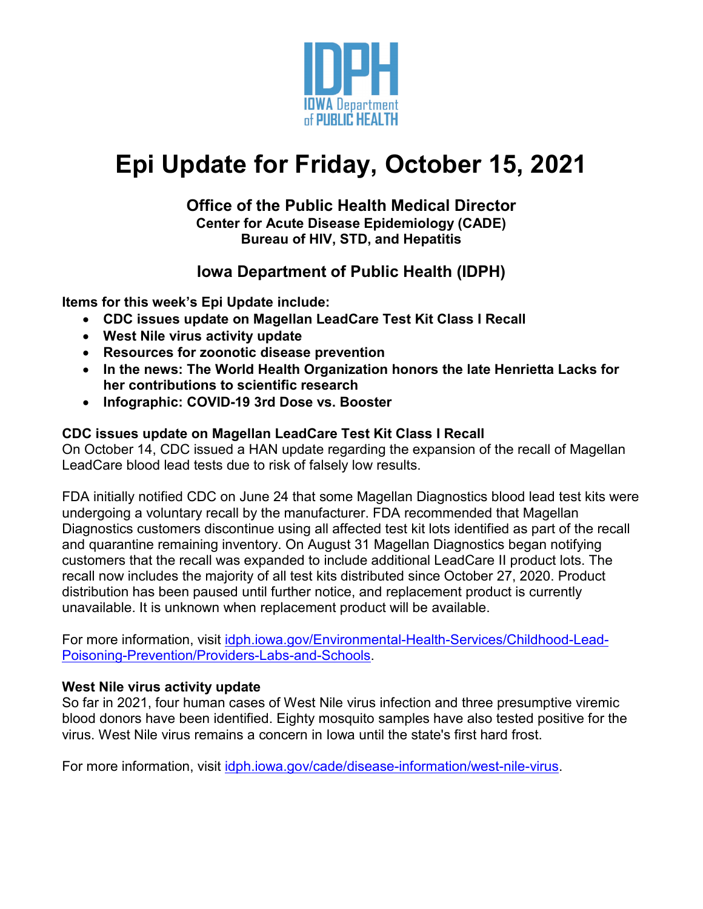

# **Epi Update for Friday, October 15, 2021**

#### **Office of the Public Health Medical Director Center for Acute Disease Epidemiology (CADE) Bureau of HIV, STD, and Hepatitis**

## **Iowa Department of Public Health (IDPH)**

**Items for this week's Epi Update include:**

- **CDC issues update on Magellan LeadCare Test Kit Class I Recall**
- **West Nile virus activity update**
- **Resources for zoonotic disease prevention**
- **In the news: The World Health Organization honors the late Henrietta Lacks for her contributions to scientific research**
- **Infographic: COVID-19 3rd Dose vs. Booster**

### **CDC issues update on Magellan LeadCare Test Kit Class I Recall**

On October 14, CDC issued a HAN update regarding the expansion of the recall of Magellan LeadCare blood lead tests due to risk of falsely low results.

FDA initially notified CDC on June 24 that some Magellan Diagnostics blood lead test kits were undergoing a voluntary recall by the manufacturer. FDA recommended that Magellan Diagnostics customers discontinue using all affected test kit lots identified as part of the recall and quarantine remaining inventory. On August 31 Magellan Diagnostics began notifying customers that the recall was expanded to include additional LeadCare II product lots. The recall now includes the majority of all test kits distributed since October 27, 2020. Product distribution has been paused until further notice, and replacement product is currently unavailable. It is unknown when replacement product will be available.

For more information, visit [idph.iowa.gov/Environmental-Health-Services/Childhood-Lead-](https://idph.iowa.gov/Environmental-Health-Services/Childhood-Lead-Poisoning-Prevention/Providers-Labs-and-Schools)[Poisoning-Prevention/Providers-Labs-and-Schools.](https://idph.iowa.gov/Environmental-Health-Services/Childhood-Lead-Poisoning-Prevention/Providers-Labs-and-Schools)

#### **West Nile virus activity update**

So far in 2021, four human cases of West Nile virus infection and three presumptive viremic blood donors have been identified. Eighty mosquito samples have also tested positive for the virus. West Nile virus remains a concern in Iowa until the state's first hard frost.

For more information, visit [idph.iowa.gov/cade/disease-information/west-nile-virus.](https://idph.iowa.gov/cade/disease-information/west-nile-virus)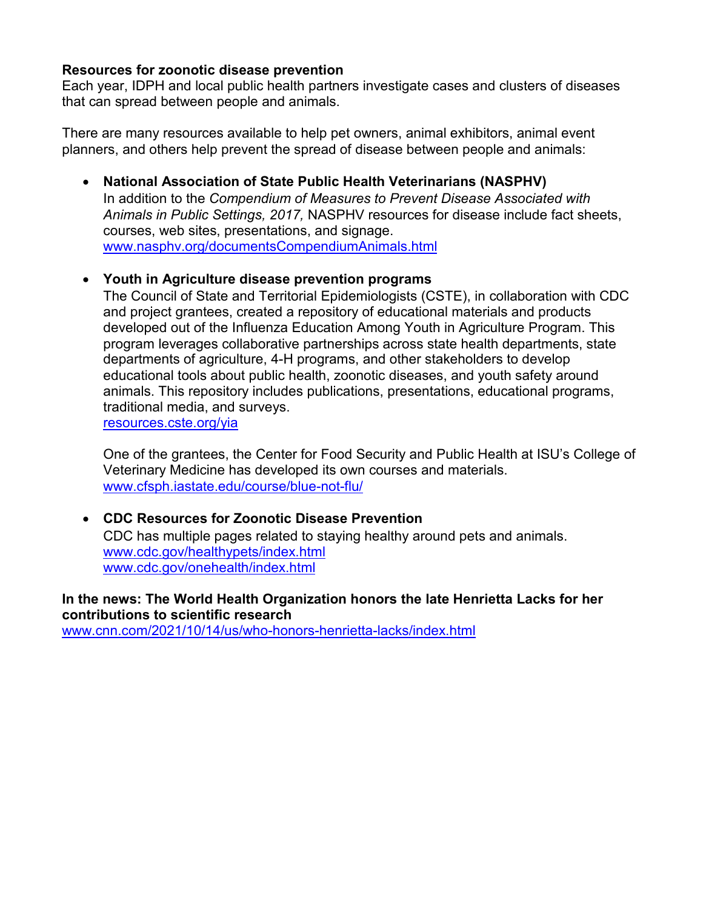#### **Resources for zoonotic disease prevention**

Each year, IDPH and local public health partners investigate cases and clusters of diseases that can spread between people and animals.

There are many resources available to help pet owners, animal exhibitors, animal event planners, and others help prevent the spread of disease between people and animals:

• **National Association of State Public Health Veterinarians (NASPHV)**  In addition to the *Compendium of Measures to Prevent Disease Associated with Animals in Public Settings, 2017,* NASPHV resources for disease include fact sheets, courses, web sites, presentations, and signage. [www.nasphv.org/documentsCompendiumAnimals.html](http://www.nasphv.org/documentsCompendiumAnimals.html)

#### • **Youth in Agriculture disease prevention programs**

The Council of State and Territorial Epidemiologists (CSTE), in collaboration with CDC and project grantees, created a repository of educational materials and products developed out of the Influenza Education Among Youth in Agriculture Program. This program leverages collaborative partnerships across state health departments, state departments of agriculture, 4-H programs, and other stakeholders to develop educational tools about public health, zoonotic diseases, and youth safety around animals. This repository includes publications, presentations, educational programs, traditional media, and surveys.

[resources.cste.org/yia](https://resources.cste.org/yia)

One of the grantees, the Center for Food Security and Public Health at ISU's College of Veterinary Medicine has developed its own courses and materials. [www.cfsph.iastate.edu/course/blue-not-flu/](https://www.cfsph.iastate.edu/course/blue-not-flu/)

#### • **CDC Resources for Zoonotic Disease Prevention** CDC has multiple pages related to staying healthy around pets and animals. [www.cdc.gov/healthypets/index.html](https://www.cdc.gov/healthypets/index.html) [www.cdc.gov/onehealth/index.html](https://www.cdc.gov/onehealth/index.html)

**In the news: The World Health Organization honors the late Henrietta Lacks for her contributions to scientific research**

[www.cnn.com/2021/10/14/us/who-honors-henrietta-lacks/index.html](http://www.cnn.com/2021/10/14/us/who-honors-henrietta-lacks/index.html)